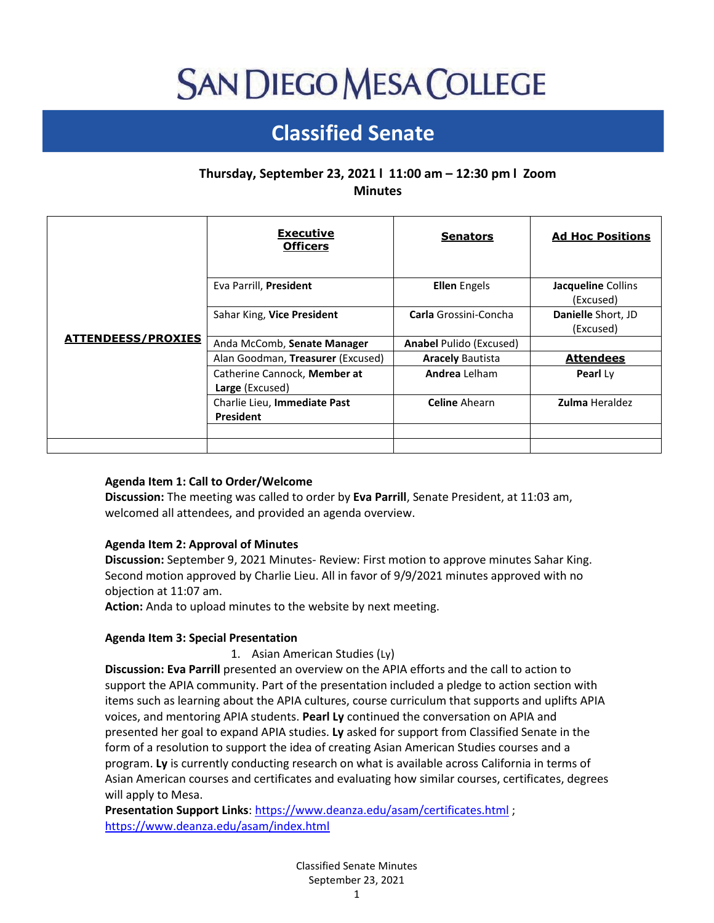# **SAN DIEGO MESA COLLEGE**

# **Classified Senate**

## **Thursday, September 23, 2021 l 11:00 am – 12:30 pm l Zoom Minutes**

| <b>ATTENDEESS/PROXIES</b> | <b>Executive</b><br><b>Officers</b>              | <b>Senators</b>                | <b>Ad Hoc Positions</b>         |
|---------------------------|--------------------------------------------------|--------------------------------|---------------------------------|
|                           | Eva Parrill, President                           | <b>Ellen</b> Engels            | Jacqueline Collins<br>(Excused) |
|                           | Sahar King, Vice President                       | <b>Carla</b> Grossini-Concha   | Danielle Short, JD<br>(Excused) |
|                           | Anda McComb, Senate Manager                      | <b>Anabel Pulido (Excused)</b> |                                 |
|                           | Alan Goodman, Treasurer (Excused)                | <b>Aracely Bautista</b>        | <b>Attendees</b>                |
|                           | Catherine Cannock, Member at<br>Large (Excused)  | <b>Andrea</b> Lelham           | Pearl Ly                        |
|                           | Charlie Lieu, Immediate Past<br><b>President</b> | <b>Celine</b> Ahearn           | <b>Zulma</b> Heraldez           |
|                           |                                                  |                                |                                 |

### **Agenda Item 1: Call to Order/Welcome**

**Discussion:** The meeting was called to order by **Eva Parrill**, Senate President, at 11:03 am, welcomed all attendees, and provided an agenda overview.

#### **Agenda Item 2: Approval of Minutes**

**Discussion:** September 9, 2021 Minutes- Review: First motion to approve minutes Sahar King. Second motion approved by Charlie Lieu. All in favor of 9/9/2021 minutes approved with no objection at 11:07 am.

**Action:** Anda to upload minutes to the website by next meeting.

#### **Agenda Item 3: Special Presentation**

1. Asian American Studies (Ly)

**Discussion: Eva Parrill** presented an overview on the APIA efforts and the call to action to support the APIA community. Part of the presentation included a pledge to action section with items such as learning about the APIA cultures, course curriculum that supports and uplifts APIA voices, and mentoring APIA students. **Pearl Ly** continued the conversation on APIA and presented her goal to expand APIA studies. **Ly** asked for support from Classified Senate in the form of a resolution to support the idea of creating Asian American Studies courses and a program. **Ly** is currently conducting research on what is available across California in terms of Asian American courses and certificates and evaluating how similar courses, certificates, degrees will apply to Mesa.

**Presentation Support Links**[: https://www.deanza.edu/asam/certificates.html](https://www.deanza.edu/asam/certificates.html) ; <https://www.deanza.edu/asam/index.html>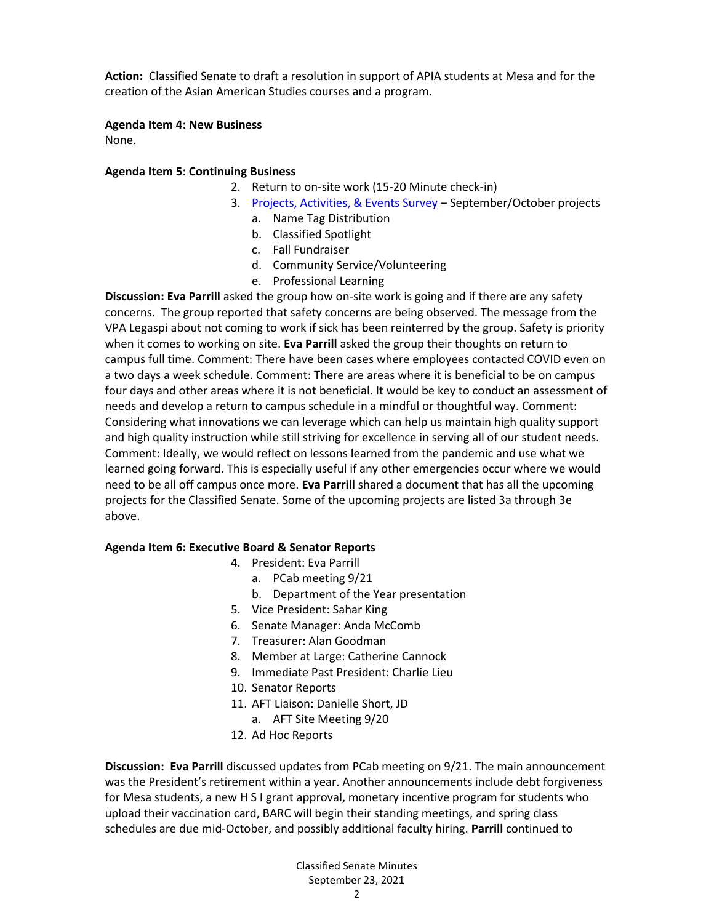**Action:** Classified Senate to draft a resolution in support of APIA students at Mesa and for the creation of the Asian American Studies courses and a program.

#### **Agenda Item 4: New Business**

None.

#### **Agenda Item 5: Continuing Business**

- 2. Return to on-site work (15-20 Minute check-in)
	- 3. [Projects, Activities, & Events Survey](https://docs.google.com/forms/d/e/1FAIpQLScWCSltDz9g2SQhCU0k-dKXkdcI-5AgniHQGx44VeSB_e4y9A/viewform) September/October projects
		- a. Name Tag Distribution
		- b. Classified Spotlight
		- c. Fall Fundraiser
		- d. Community Service/Volunteering
		- e. Professional Learning

**Discussion: Eva Parrill** asked the group how on-site work is going and if there are any safety concerns. The group reported that safety concerns are being observed. The message from the VPA Legaspi about not coming to work if sick has been reinterred by the group. Safety is priority when it comes to working on site. **Eva Parrill** asked the group their thoughts on return to campus full time. Comment: There have been cases where employees contacted COVID even on a two days a week schedule. Comment: There are areas where it is beneficial to be on campus four days and other areas where it is not beneficial. It would be key to conduct an assessment of needs and develop a return to campus schedule in a mindful or thoughtful way. Comment: Considering what innovations we can leverage which can help us maintain high quality support and high quality instruction while still striving for excellence in serving all of our student needs. Comment: Ideally, we would reflect on lessons learned from the pandemic and use what we learned going forward. This is especially useful if any other emergencies occur where we would need to be all off campus once more. **Eva Parrill** shared a document that has all the upcoming projects for the Classified Senate. Some of the upcoming projects are listed 3a through 3e above.

#### **Agenda Item 6: Executive Board & Senator Reports**

- 4. President: Eva Parrill
	- a. PCab meeting 9/21
		- b. Department of the Year presentation
- 5. Vice President: Sahar King
- 6. Senate Manager: Anda McComb
- 7. Treasurer: Alan Goodman
- 8. Member at Large: Catherine Cannock
- 9. Immediate Past President: Charlie Lieu
- 10. Senator Reports
- 11. AFT Liaison: Danielle Short, JD
	- a. AFT Site Meeting 9/20
- 12. Ad Hoc Reports

**Discussion: Eva Parrill** discussed updates from PCab meeting on 9/21. The main announcement was the President's retirement within a year. Another announcements include debt forgiveness for Mesa students, a new H S I grant approval, monetary incentive program for students who upload their vaccination card, BARC will begin their standing meetings, and spring class schedules are due mid-October, and possibly additional faculty hiring. **Parrill** continued to